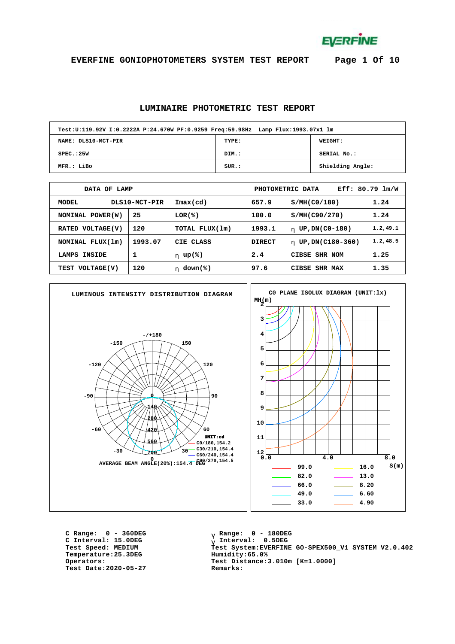**EVERFINE** 

**EVERFINE GONIOPHOTOMETERS SYSTEM TEST REPORT Page 1 Of 10**

#### **LUMINAIRE PHOTOMETRIC TEST REPORT**

| Test:U:119.92V I:0.2222A P:24.670W PF:0.9259 Freq:59.98Hz Lamp Flux:1993.07x1 lm |       |                  |  |  |  |  |  |  |  |  |  |
|----------------------------------------------------------------------------------|-------|------------------|--|--|--|--|--|--|--|--|--|
| NAME: DLS10-MCT-PIR                                                              | TYPE: | WEIGHT:          |  |  |  |  |  |  |  |  |  |
| SPEC.:25W                                                                        | DIM.: | SERIAL No.:      |  |  |  |  |  |  |  |  |  |
| MFR.: LiBo                                                                       | SUR.: | Shielding Angle: |  |  |  |  |  |  |  |  |  |

|                             | DATA OF LAMP |                  | $Eff: 80.79$ $lm/W$<br>PHOTOMETRIC DATA |               |                        |           |  |  |  |  |  |  |
|-----------------------------|--------------|------------------|-----------------------------------------|---------------|------------------------|-----------|--|--|--|--|--|--|
| MODEL                       |              | DLS10-MCT-PIR    | Imax(cd)                                | 657.9         | S/MH(C0/180)           | 1.24      |  |  |  |  |  |  |
| 25<br>NOMINAL POWER(W)      |              |                  | LOR(%)                                  | 100.0         | S/MH(C90/270)          | 1.24      |  |  |  |  |  |  |
| VOLTAGE(V)<br><b>RATED</b>  |              | 120              | TOTAL FLUX(1m)                          | 1993.1        | UP, DN(C0-180)<br>h.   | 1.2, 49.1 |  |  |  |  |  |  |
| NOMINAL FLUX(1m)            |              | 1993.07          | CIE CLASS<br><b>DIRECT</b>              |               | UP, DN(C180-360)<br>h. | 1.2, 48.5 |  |  |  |  |  |  |
| 1<br><b>INSIDE</b><br>LAMPS |              |                  | h $up$ (%)                              | 2.4           | CIBSE SHR NOM          | 1.25      |  |  |  |  |  |  |
| 120<br>TEST VOLTAGE(V)      |              | $down$ (%)<br>h. | 97.6                                    | CIBSE SHR MAX | 1.35                   |           |  |  |  |  |  |  |



**C Range: 0 - 360DEG C Interval: 15.0DEG**  $Temperature:25.3DEG$ **Test Date:2020-05-27 Remarks:**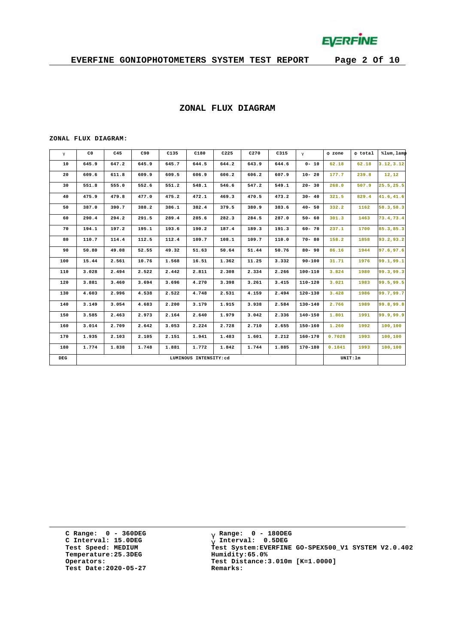

#### **ZONAL FLUX DIAGRAM**

#### **ZONAL FLUX DIAGRAM:**

| g   | C <sub>0</sub> | C45   | C90   | C135  | C180                  | C225  | C270  | C315  | $\mathsf{q}$ | F zone | F total  | %lum, lamp |
|-----|----------------|-------|-------|-------|-----------------------|-------|-------|-------|--------------|--------|----------|------------|
| 10  | 645.9          | 647.2 | 645.9 | 645.7 | 644.5                 | 644.2 | 643.9 | 644.6 | $0 - 10$     | 62.18  | 62.18    | 3.12, 3.12 |
| 20  | 609.6          | 611.8 | 609.9 | 609.5 | 606.9                 | 606.2 | 606.2 | 607.9 | $10 - 20$    | 177.7  | 239.8    | 12,12      |
| 30  | 551.8          | 555.0 | 552.6 | 551.2 | 548.1                 | 546.6 | 547.2 | 549.1 | $20 - 30$    | 268.0  | 507.9    | 25.5,25.5  |
| 40  | 475.9          | 479.8 | 477.0 | 475.2 | 472.1                 | 469.3 | 470.5 | 473.2 | $30 - 40$    | 321.5  | 829.4    | 41.6,41.6  |
| 50  | 387.0          | 390.7 | 388.2 | 386.1 | 382.4                 | 379.5 | 380.9 | 383.6 | $40 - 50$    | 332.2  | 1162     | 58.3,58.3  |
| 60  | 290.4          | 294.2 | 291.5 | 289.4 | 285.6                 | 282.3 | 284.5 | 287.0 | $50 - 60$    | 301.3  | 1463     | 73.4,73.4  |
| 70  | 194.1          | 197.2 | 195.1 | 193.6 | 190.2                 | 187.4 | 189.3 | 191.3 | $60 - 70$    | 237.1  | 1700     | 85.3,85.3  |
| 80  | 110.7          | 114.4 | 112.5 | 112.4 | 109.7                 | 108.1 | 109.7 | 110.0 | $70 - 80$    | 158.2  | 1858     | 93.2,93.2  |
| 90  | 50.80          | 49.08 | 52.55 | 49.32 | 51.63                 | 50.64 | 51.44 | 50.76 | $80 - 90$    | 86.16  | 1944     | 97.6,97.6  |
| 100 | 15.44          | 2.561 | 10.76 | 1.568 | 16.51                 | 1.362 | 11.25 | 3.332 | $90 - 100$   | 31.71  | 1976     | 99.1,99.1  |
| 110 | 3.028          | 2.494 | 2.522 | 2.442 | 2.811                 | 2.308 | 2.334 | 2.266 | $100 - 110$  | 3.824  | 1980     | 99.3,99.3  |
| 120 | 3.881          | 3,460 | 3.694 | 3.696 | 4.270                 | 3.398 | 3.261 | 3.415 | $110 - 120$  | 3.021  | 1983     | 99.5,99.5  |
| 130 | 4.603          | 2.996 | 4.538 | 2.522 | 4.748                 | 2.531 | 4.159 | 2.494 | 120-130      | 3.428  | 1986     | 99.7,99.7  |
| 140 | 3.149          | 3.054 | 4.683 | 2,200 | 3.179                 | 1.915 | 3.938 | 2.584 | $130 - 140$  | 2.766  | 1989     | 99.8,99.8  |
| 150 | 3.585          | 2.463 | 2.973 | 2.164 | 2.640                 | 1.979 | 3.042 | 2.336 | $140 - 150$  | 1.801  | 1991     | 99.9,99.9  |
| 160 | 3.014          | 2.709 | 2.642 | 3.053 | 2.224                 | 2.728 | 2.710 | 2.655 | 150-160      | 1.260  | 1992     | 100,100    |
| 170 | 1.935          | 2.103 | 2.105 | 2.151 | 1.941                 | 1.483 | 1.601 | 2.212 | $160 - 170$  | 0.7028 | 1993     | 100,100    |
| 180 | 1.774          | 1.838 | 1.748 | 1.881 | 1.772                 | 1.842 | 1.744 | 1.885 | $170 - 180$  | 0.1841 | 1993     | 100,100    |
| DEG |                |       |       |       | LUMINOUS INTENSITY:cd |       |       |       |              |        | UNIT: 1m |            |

**C Range: 0 - 360DEG C Interval: 15.0DEG Temperature:25.3DEG Humidity:65.0% Test Date:2020-05-27 Remarks:**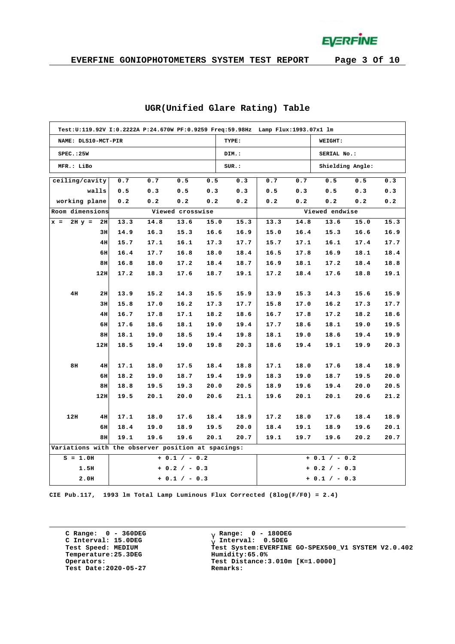**EVERFINE** 

|                                                    |     |      |      |                  | Test:U:119.92V I:0.2222A P:24.670W PF:0.9259 Freq:59.98Hz Lamp Flux:1993.07x1 lm |       |      |      |                  |      |      |  |  |
|----------------------------------------------------|-----|------|------|------------------|----------------------------------------------------------------------------------|-------|------|------|------------------|------|------|--|--|
| NAME: DLS10-MCT-PIR                                |     |      |      |                  |                                                                                  | TYPE: |      |      | WEIGHT:          |      |      |  |  |
| SPEC.:25W                                          |     |      |      |                  |                                                                                  | DIM.: |      |      | SERIAL No.:      |      |      |  |  |
| MFR.: LiBo                                         |     |      |      |                  |                                                                                  | SUR.: |      |      | Shielding Angle: |      |      |  |  |
| ceiling/cavity                                     |     | 0.7  | 0.7  | 0.5              | 0.5                                                                              | 0.3   | 0.7  | 0.7  | 0.5              | 0.5  | 0.3  |  |  |
| walls                                              |     | 0.5  | 0.3  | 0.5              | 0.3                                                                              | 0.3   | 0.5  | 0.3  | 0.5              | 0.3  | 0.3  |  |  |
| working plane                                      |     | 0.2  | 0.2  | 0.2              | 0.2                                                                              | 0.2   | 0.2  | 0.2  | 0.2              | 0.2  | 0.2  |  |  |
| Room dimensions                                    |     |      |      | Viewed crosswise |                                                                                  |       |      |      | Viewed endwise   |      |      |  |  |
| $2H y =$<br>$x =$                                  | 2H  | 13.3 | 14.8 | 13.6             | 15.0                                                                             | 15.3  | 13.3 | 14.8 | 13.6             | 15.0 | 15.3 |  |  |
|                                                    | 3H  | 14.9 | 16.3 | 15.3             | 16.6                                                                             | 16.9  | 15.0 | 16.4 | 15.3             | 16.6 | 16.9 |  |  |
|                                                    | 4H  | 15.7 | 17.1 | 16.1             | 17.3                                                                             | 17.7  | 15.7 | 17.1 | 16.1             | 17.4 | 17.7 |  |  |
|                                                    | 6H  | 16.4 | 17.7 | 16.8             | 18.0                                                                             | 18.4  | 16.5 | 17.8 | 16.9             | 18.1 | 18.4 |  |  |
|                                                    | 8H  | 16.8 | 18.0 | 17.2             | 18.4                                                                             | 18.7  | 16.9 | 18.1 | 17.2             | 18.4 | 18.8 |  |  |
|                                                    | 12H | 17.2 | 18.3 | 17.6             | 18.7                                                                             | 19.1  | 17.2 | 18.4 | 17.6             | 18.8 | 19.1 |  |  |
|                                                    |     |      |      |                  |                                                                                  |       |      |      |                  |      |      |  |  |
| 4H                                                 | 2H  | 13.9 | 15.2 | 14.3             | 15.5                                                                             | 15.9  | 13.9 | 15.3 | 14.3             | 15.6 | 15.9 |  |  |
|                                                    | 3H  | 15.8 | 17.0 | 16.2             | 17.3                                                                             | 17.7  | 15.8 | 17.0 | 16.2             | 17.3 | 17.7 |  |  |
|                                                    | 4H  | 16.7 | 17.8 | 17.1             | 18.2                                                                             | 18.6  | 16.7 | 17.8 | 17.2             | 18.2 | 18.6 |  |  |
|                                                    | 6H  | 17.6 | 18.6 | 18.1             | 19.0                                                                             | 19.4  | 17.7 | 18.6 | 18.1             | 19.0 | 19.5 |  |  |
|                                                    | 8H  | 18.1 | 19.0 | 18.5             | 19.4                                                                             | 19.8  | 18.1 | 19.0 | 18.6             | 19.4 | 19.9 |  |  |
|                                                    | 12H | 18.5 | 19.4 | 19.0             | 19.8                                                                             | 20.3  | 18.6 | 19.4 | 19.1             | 19.9 | 20.3 |  |  |
|                                                    |     |      |      |                  |                                                                                  |       |      |      |                  |      |      |  |  |
| 8H                                                 | 4H  | 17.1 | 18.0 | 17.5             | 18.4                                                                             | 18.8  | 17.1 | 18.0 | 17.6             | 18.4 | 18.9 |  |  |
|                                                    | 6H  | 18.2 | 19.0 | 18.7             | 19.4                                                                             | 19.9  | 18.3 | 19.0 | 18.7             | 19.5 | 20.0 |  |  |
|                                                    | 8H  | 18.8 | 19.5 | 19.3             | 20.0                                                                             | 20.5  | 18.9 | 19.6 | 19.4             | 20.0 | 20.5 |  |  |
|                                                    | 12H | 19.5 | 20.1 | 20.0             | 20.6                                                                             | 21.1  | 19.6 | 20.1 | 20.1             | 20.6 | 21.2 |  |  |
|                                                    |     |      |      |                  |                                                                                  |       |      |      |                  |      |      |  |  |
| 12H                                                | 4H  | 17.1 | 18.0 | 17.6             | 18.4                                                                             | 18.9  | 17.2 | 18.0 | 17.6             | 18.4 | 18.9 |  |  |
|                                                    | 6H  | 18.4 | 19.0 | 18.9             | 19.5                                                                             | 20.0  | 18.4 | 19.1 | 18.9             | 19.6 | 20.1 |  |  |
|                                                    | 8H  | 19.1 | 19.6 | 19.6             | 20.1                                                                             | 20.7  | 19.1 | 19.7 | 19.6             | 20.2 | 20.7 |  |  |
| Variations with the observer position at spacings: |     |      |      |                  |                                                                                  |       |      |      |                  |      |      |  |  |
| $S = 1.0H$                                         |     |      |      | $+ 0.1 / - 0.2$  |                                                                                  |       |      |      | $+ 0.1 / - 0.2$  |      |      |  |  |
| 1.5H                                               |     |      |      | $+ 0.2 / - 0.3$  |                                                                                  |       |      |      | $+ 0.2 / - 0.3$  |      |      |  |  |
| 2.0H                                               |     |      |      | $+ 0.1 / - 0.3$  |                                                                                  |       |      |      | $+ 0.1 / - 0.3$  |      |      |  |  |

#### **UGR(Unified Glare Rating) Table**

**CIE Pub.117, 1993 lm Total Lamp Luminous Flux Corrected (8log(F/F0) = 2.4)**

**C Range: 0 - 360DEG C Interval: 15.0DEG Temperature:25.3DEG Humidity:65.0% Test Date:2020-05-27 Remarks:**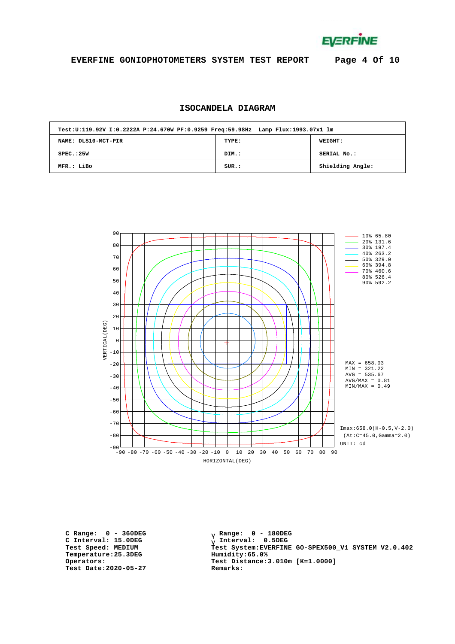**EVERFINE** 

### **EVERFINE GONIOPHOTOMETERS SYSTEM TEST REPORT Page 4 Of 10**

### **ISOCANDELA DIAGRAM**

| Test:U:119.92V I:0.2222A P:24.670W PF:0.9259 Freq:59.98Hz Lamp Flux:1993.07x1 lm |       |                  |  |  |  |  |  |  |  |  |  |
|----------------------------------------------------------------------------------|-------|------------------|--|--|--|--|--|--|--|--|--|
| NAME: DLS10-MCT-PIR                                                              | TYPE: | <b>WEIGHT:</b>   |  |  |  |  |  |  |  |  |  |
| SPEC. : 25W                                                                      | DIM.: | SERIAL No.:      |  |  |  |  |  |  |  |  |  |
| MFR.: LiBo                                                                       | SUR.: | Shielding Angle: |  |  |  |  |  |  |  |  |  |



**C Range: 0 - 360DEG C Interval: 15.0DEG Temperature:25.3DEG Humidity:65.0% Test Date:2020-05-27 Remarks:**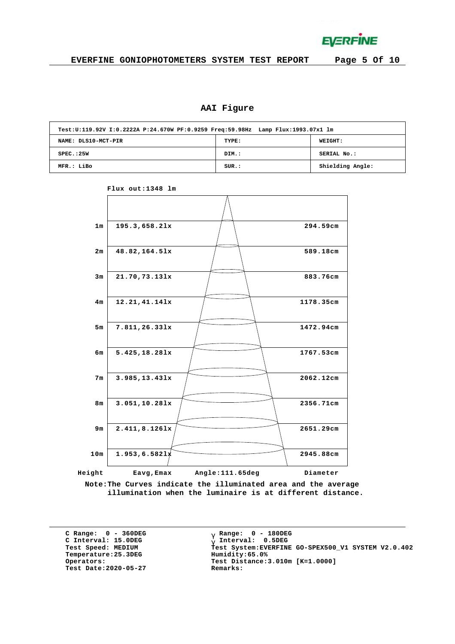**EVERFINE** 

## **AAI Figure**

| Test:U:119.92V I:0.2222A P:24.670W PF:0.9259 Freq:59.98Hz Lamp Flux:1993.07x1 lm |       |                  |  |  |  |  |  |  |  |  |  |
|----------------------------------------------------------------------------------|-------|------------------|--|--|--|--|--|--|--|--|--|
| NAME: DLS10-MCT-PIR                                                              | TYPE: | <b>WEIGHT:</b>   |  |  |  |  |  |  |  |  |  |
| SPEC.:25W                                                                        | DIM.: | SERIAL No.:      |  |  |  |  |  |  |  |  |  |
| MFR.: LiBo                                                                       | SUR.: | Shielding Angle: |  |  |  |  |  |  |  |  |  |



**Flux out:1348 lm**

**Note:The Curves indicate the illuminated area and the average illumination when the luminaire is at different distance.**

**C Range: 0 - 360DEG C Interval: 15.0DEG**  $Temperature:25.3DEG$ **Test Date:2020-05-27 Remarks:**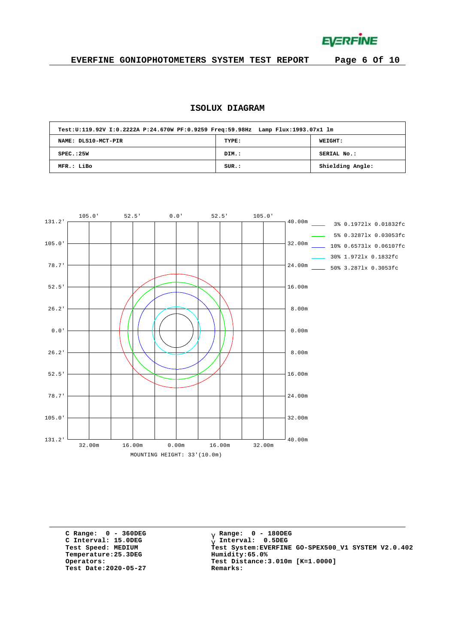**EVERFINE** 

### **EVERFINE GONIOPHOTOMETERS SYSTEM TEST REPORT Page 6 Of 10**

### **ISOLUX DIAGRAM**

|                     | Test:U:119.92V I:0.2222A P:24.670W PF:0.9259 Freq:59.98Hz Lamp Flux:1993.07x1 lm |                  |  |  |  |  |  |  |  |  |  |  |
|---------------------|----------------------------------------------------------------------------------|------------------|--|--|--|--|--|--|--|--|--|--|
| NAME: DLS10-MCT-PIR | TYPE:                                                                            | WEIGHT:          |  |  |  |  |  |  |  |  |  |  |
| SPEC. : 25W         | DIM.:                                                                            | SERIAL No.:      |  |  |  |  |  |  |  |  |  |  |
| MFR.: LiBo          | SUR.:                                                                            | Shielding Angle: |  |  |  |  |  |  |  |  |  |  |



**C Range: 0 - 360DEG C Interval: 15.0DEG**  $Temperature:25.3DEG$ **Test Date:2020-05-27 Remarks:**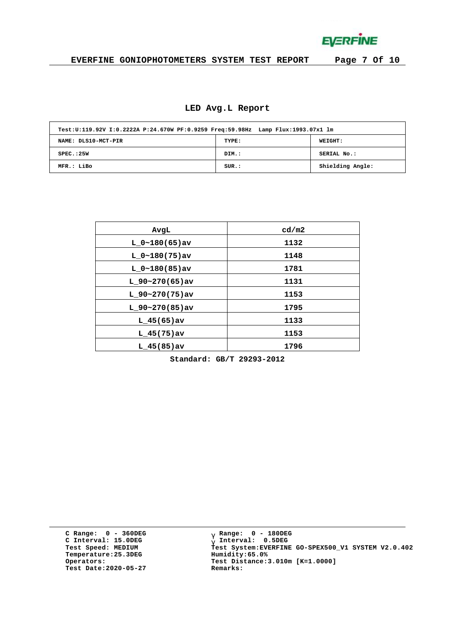**EVERFINE** 

### **EVERFINE GONIOPHOTOMETERS SYSTEM TEST REPORT Page 7 Of 10**

### **LED Avg.L Report**

| Test:U:119.92V I:0.2222A P:24.670W PF:0.9259 Freq:59.98Hz Lamp Flux:1993.07x1 lm |       |                  |  |  |  |  |  |  |  |  |  |
|----------------------------------------------------------------------------------|-------|------------------|--|--|--|--|--|--|--|--|--|
| NAME: DLS10-MCT-PIR                                                              | TYPE: | WEIGHT:          |  |  |  |  |  |  |  |  |  |
| SPEC.:25W                                                                        | DIM.: | SERIAL No.:      |  |  |  |  |  |  |  |  |  |
| MFR.: LiBo                                                                       | SUR.: | Shielding Angle: |  |  |  |  |  |  |  |  |  |

| AvgL              | cd/m2 |
|-------------------|-------|
| $L_0~180(65)$ av  | 1132  |
| $L_0~180(75)$ av  | 1148  |
| $L_0~180(85)$ av  | 1781  |
| L $90-270(65)$ av | 1131  |
| $L$ 90~270(75)av  | 1153  |
| $L$ 90~270(85)av  | 1795  |
| $L$ 45(65) av     | 1133  |
| $L$ 45(75)av      | 1153  |
| $L$ 45(85)av      | 1796  |

**Standard: GB/T 29293-2012**

**C Range: 0 - 360DEG C Interval: 15.0DEG Temperature:25.3DEG Humidity:65.0% Test Date:2020-05-27 Remarks:**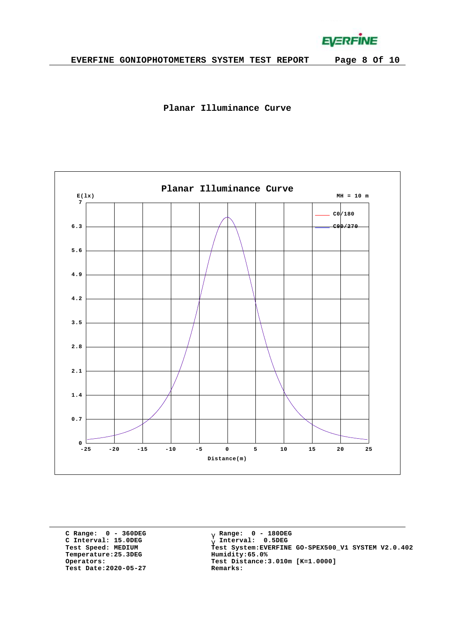**EVERFINE** 





**C Range: 0 - 360DEG C Interval: 15.0DEG Temperature:25.3DEG Humidity:65.0% Test Date:2020-05-27 Remarks:**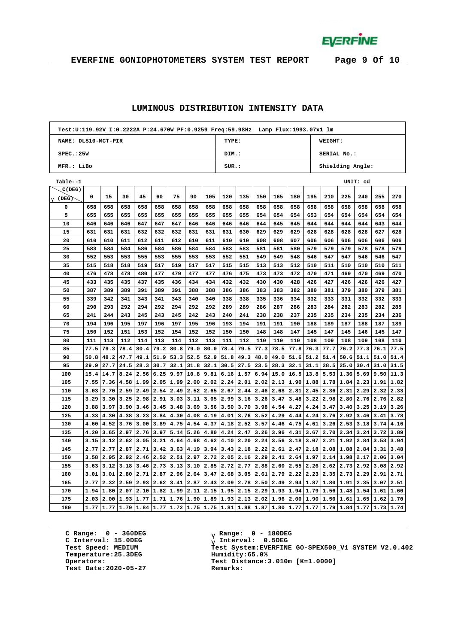**EVERFINE** 

# **EVERFINE GONIOPHOTOMETERS SYSTEM TEST REPORT Page 9 Of 10**

#### **LUMINOUS DISTRIBUTION INTENSITY DATA**

| Test:U:119.92V I:0.2222A P:24.670W PF:0.9259 Freq:59.98Hz Lamp Flux:1993.07x1 lm |      |      |      |                                 |      |               |      |      |                          |             |      |      |                            |      |                    |                      |          |      |      |
|----------------------------------------------------------------------------------|------|------|------|---------------------------------|------|---------------|------|------|--------------------------|-------------|------|------|----------------------------|------|--------------------|----------------------|----------|------|------|
| NAME: DLS10-MCT-PIR                                                              |      |      |      |                                 |      |               |      |      | TYPE:<br>WEIGHT:         |             |      |      |                            |      |                    |                      |          |      |      |
| SPEC.:25W                                                                        |      |      |      |                                 |      |               |      |      | DIM.:                    |             |      |      |                            |      | <b>SERIAL No.:</b> |                      |          |      |      |
| MFR.: LiBo                                                                       |      |      |      |                                 |      |               |      |      | SUR:<br>Shielding Angle: |             |      |      |                            |      |                    |                      |          |      |      |
| Table--1                                                                         |      |      |      |                                 |      |               |      |      |                          |             |      |      |                            |      |                    |                      | UNIT: cd |      |      |
| C(DEG)                                                                           |      |      |      |                                 |      |               |      |      |                          |             |      |      |                            |      |                    |                      |          |      |      |
| $g$ (DEG)                                                                        | 0    | 15   | 30   | 45                              | 60   | 75            | 90   | 105  | 120                      | 135         | 150  | 165  | 180                        | 195  | 210                | 225                  | 240      | 255  | 270  |
| 0                                                                                | 658  | 658  | 658  | 658                             | 658  | 658           | 658  | 658  | 658                      | 658         | 658  | 658  | 658                        | 658  | 658                | 658                  | 658      | 658  | 658  |
| 5                                                                                | 655  | 655  | 655  | 655                             | 655  | 655           | 655  | 655  | 655                      | 655         | 654  | 654  | 654                        | 653  | 654                | 654                  | 654      | 654  | 654  |
| 10                                                                               | 646  | 646  | 646  | 647                             | 647  | 647           | 646  | 646  | 646                      | 646         | 644  | 645  | 645                        | 644  | 644                | 644                  | 644      | 643  | 644  |
| 15                                                                               | 631  | 631  | 631  | 632                             | 632  | 632           | 631  | 631  | 631                      | 630         | 629  | 629  | 629                        | 628  | 628                | 628                  | 628      | 627  | 628  |
| 20                                                                               | 610  | 610  | 611  | 612                             | 611  | 612           | 610  | 611  | 610                      | 610         | 608  | 608  | 607                        | 606  | 606                | 606                  | 606      | 606  | 606  |
| 25                                                                               | 583  | 584  | 584  | 586                             | 584  | 586           | 584  | 584  | 583                      | 583         | 581  | 581  | 580                        | 579  | 579                | 579                  | 578      | 578  | 579  |
| 30                                                                               | 552  | 553  | 553  | 555                             | 553  | 555           | 553  | 553  | 552                      | 551         | 549  | 549  | 548                        | 546  | 547                | 547                  | 546      | 546  | 547  |
| 35                                                                               | 515  | 518  | 518  | 519                             | 517  | 519           | 517  | 517  | 515                      | 515         | 513  | 513  | 512                        | 510  | 511                | 510                  | 510      | 510  | 511  |
| 40                                                                               | 476  | 478  | 478  | 480                             | 477  | 479           | 477  | 477  | 476                      | 475         | 473  | 473  | 472                        | 470  | 471                | 469                  | 470      | 469  | 470  |
| 45                                                                               | 433  | 435  | 435  | 437                             | 435  | 436           | 434  | 434  | 432                      | 432         | 430  | 430  | 428                        | 426  | 427                | 426                  | 426      | 426  | 427  |
| 50                                                                               | 387  | 389  | 389  | 391                             | 389  | 391           | 388  | 388  | 386                      | 386         | 383  | 383  | 382                        | 380  | 381                | 379                  | 380      | 379  | 381  |
| 55                                                                               | 339  | 342  | 341  | 343                             | 341  | 343           | 340  | 340  | 338                      | 338         | 335  | 336  | 334                        | 332  | 333                | 331                  | 332      | 332  | 333  |
| 60                                                                               | 290  | 293  | 292  | 294                             | 292  | 294           | 292  | 292  | 289                      | 289         | 286  | 287  | 286                        | 283  | 284                | 282                  | 283      | 282  | 285  |
| 65                                                                               | 241  | 244  | 243  | 245                             | 243  | 245           | 242  | 243  | 240                      | 241         | 238  | 238  | 237                        | 235  | 235                | 234                  | 235      | 234  | 236  |
| 70                                                                               | 194  | 196  | 195  | 197                             | 196  | 197           | 195  | 196  | 193                      | 194         | 191  | 191  | 190                        | 188  | 189                | 187                  | 188      | 187  | 189  |
| 75                                                                               | 150  | 152  | 151  | 153                             | 152  | 154           | 152  | 152  | 150                      | 150         | 148  | 148  | 147                        | 145  | 147                | 145                  | 146      | 145  | 147  |
| 80                                                                               | 111  | 113  | 112  | 114                             | 113  | 114           | 112  | 113  | 111                      | 112         | 110  | 110  | 110                        | 108  | 109                | 108                  | 109      | 108  | 110  |
| 85                                                                               | 77.5 | 79.3 | 78.4 | 80.4                            | 79.2 | 80.8          | 79.0 | 80.0 | 78.4                     | 79.5        | 77.3 | 78.5 | 77.8                       | 76.3 | 77.7               | 76.2                 | 77.3     | 76.1 | 77.5 |
| 90                                                                               | 50.8 | 48.2 | 47.7 | 49.1                            | 51.9 | 53.3          | 52.5 | 52.9 | 51.8                     | 49.3        | 48.0 | 49.0 | 51.6                       | 51.2 | 51.4               | 50.6                 | 51.1     | 51.0 | 51.4 |
| 95                                                                               | 29.9 | 27.7 | 24.5 | 28.3                            | 30.7 | 32.1          | 31.8 | 32.1 | 30.5                     | 27.5        | 23.5 | 28.3 | 32.1                       | 31.1 | 28.5               | 25.0                 | 30.4     | 31.0 | 31.5 |
| 100                                                                              | 15.4 | 14.7 | 8.24 | 2.56                            | 6.25 | 9.97          | 10.8 | 9.81 | 6.16                     | 1.57        | 6.94 | 15.0 | 16.5                       | 13.8 | 5.53               | 1.36                 | 5.69     | 9.50 | 11.3 |
| 105                                                                              | 7.55 | 7.36 |      | 4.58 1.99                       | 2.05 | 1.99          | 2.00 | 2.02 | 2.24                     | 2.01        | 2.02 | 2.13 | 1.90                       | 1.88 | 1.78               | 1.84                 | 2.23     | 1.91 | 1.82 |
| 110                                                                              | 3.03 | 2.70 | 2.59 | 2.49                            | 2.54 | 2.49          | 2.52 | 2.65 | 2.67                     | 2.44        | 2.46 | 2.68 | 2.81                       | 2.45 | 2.36               | 2.31                 | 2.29     | 2.32 | 2.33 |
| 115                                                                              | 3.29 | 3.30 | 3.25 | 2.98                            | 2.91 | 3.03          | 3.11 | 3.05 | 2.99                     | 3.16        | 3.26 | 3.47 | 3.48                       | 3.22 | 2.98               | 2.80                 | 2.76     | 2.76 | 2.82 |
| 120                                                                              | 3.88 | 3.97 | 3.90 | 3.46                            | 3.45 | 3.48          | 3.69 | 3.56 | 3.50                     | 3.70        | 3.98 | 4.54 | 4.27                       | 4.24 | 3.47               | 3.40                 | 3.25     | 3.19 | 3.26 |
| 125                                                                              | 4.33 | 4.30 | 4.38 | 3.23                            | 3.84 | 4.30          | 4.08 | 4.19 | 4.01                     | 3.76        | 3.52 | 4.29 | 4.44                       | 4.24 | 3.76               | 2.92                 | 3.46     | 3.41 | 3.78 |
| 130                                                                              | 4.60 | 4.52 | 3.76 | 3.00                            | 3.89 | 4.75          | 4.54 | 4.37 | 4.18                     | 2.52        | 3.57 | 4.46 | 4.75                       | 4.61 | 3.26               | 2.53                 | 3.18     | 3.74 | 4.16 |
| 135                                                                              | 4.20 | 3.65 | 2.97 | 2.76                            | 3.97 | 5.14          | 5.26 | 4.80 | 4.24                     | 2.47        | 3.26 | 3.96 | 4.31                       | 3.67 | 2.70               | 2.34                 | 3.24     | 3.72 | 3.89 |
| 140                                                                              | 3.15 | 3.12 | 2.62 | 3.05                            | 3.21 | 4.64          | 4.68 | 4.62 | 4.10                     | 2.20        | 2.24 | 3.56 | 3.18                       | 3.07 | 2.21               | 1.92                 | 2.84     | 3.53 | 3.94 |
| 145                                                                              | 2.77 | 2.77 | 2.87 | 2.71                            | 3.42 | 3.63          | 4.19 | 3.94 | 3.43                     | 2.18        | 2.22 | 2.61 | 2.47                       | 2.18 | 2.08               | 1.88                 | 2.84     | 3.31 | 3.48 |
| 150                                                                              | 3.58 | 2.95 | 2.92 | 2.46                            | 2.52 | 2.51          | 2.97 | 2.72 | 2.05                     | 2.16        | 2.29 | 2.41 | 2.64                       | 1.97 | 2.14               | 1.98                 | 2.17     | 2.06 | 3.04 |
| 155                                                                              | 3.63 | 3.12 | 3.18 | 3.46                            | 2.73 | 3.13          | 3.10 | 2.85 | 2.72                     | 2.77        | 2.88 | 2.60 | 2.55                       | 2.26 | 2.62               | 2.73                 | 2.92     | 3.08 | 2.92 |
| 160                                                                              | 3.01 | 3.01 | 2.80 | 2.71                            | 2.87 | 2.96          | 2.64 | 3.47 | 2.68                     | 3.05        | 2.61 | 2.79 | 2.22                       | 2.23 | 2.35               | $2.73$ 2.29          |          | 2.91 | 2.71 |
| 165                                                                              | 2.77 | 2.32 | 2.59 | 2.93                            | 2.62 | 3.41          | 2.87 | 2.43 | 2.09                     | 2.78        | 2.50 | 2.49 | 2.94                       | 1.87 | 1.80               | 1.91                 | 2.35     | 3.07 | 2.51 |
| 170                                                                              | 1.94 | 1.80 | 2.07 | 2.10                            | 1.82 | 1.99          | 2.11 | 2.15 | 1.95                     | 2.15        | 2.29 | 1.93 | 1.94                       | 1.79 | 1.56               | 1.48                 | 1.54     | 1.61 | 1.60 |
| 175                                                                              | 2.03 | 2.00 |      | 1.93 1.77                       |      | $1.71$   1.76 | 1.90 | 1.89 | 1.93                     | 2.13        | 2.02 | 1.96 | 2.00 1.90                  |      | 1.50               | 1.61                 | 1.65     | 1.62 | 1.70 |
| 180                                                                              | 1.77 | 1.77 |      | $1.79$ 1.84 1.77 1.72 1.75 1.75 |      |               |      |      |                          | $1.81$ 1.88 | 1.87 |      | $1.80 \mid 1.77 \mid 1.77$ |      | 1.79               | $1.84$ $1.77$ $1.73$ |          |      | 1.74 |

**C Range: 0 - 360DEG C Interval: 15.0DEG Temperature:25.3DEG Humidity:65.0% Test Date:2020-05-27 Remarks:**